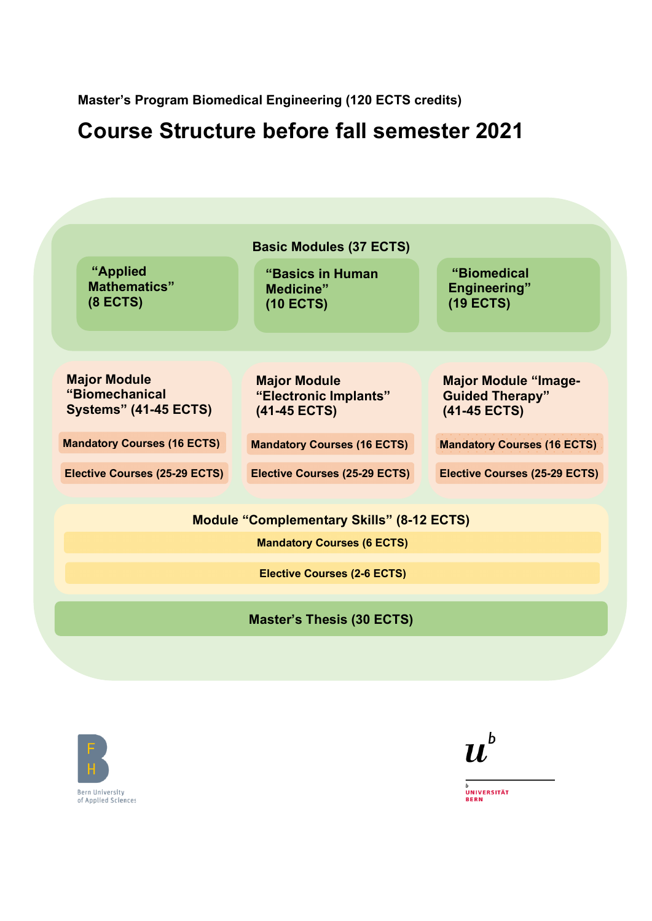**Master's Program Biomedical Engineering (120 ECTS credits)**

# **Course Structure before fall semester 2021**







**Bern University** of Applied Sciences UNIVERSITÄT **BERN**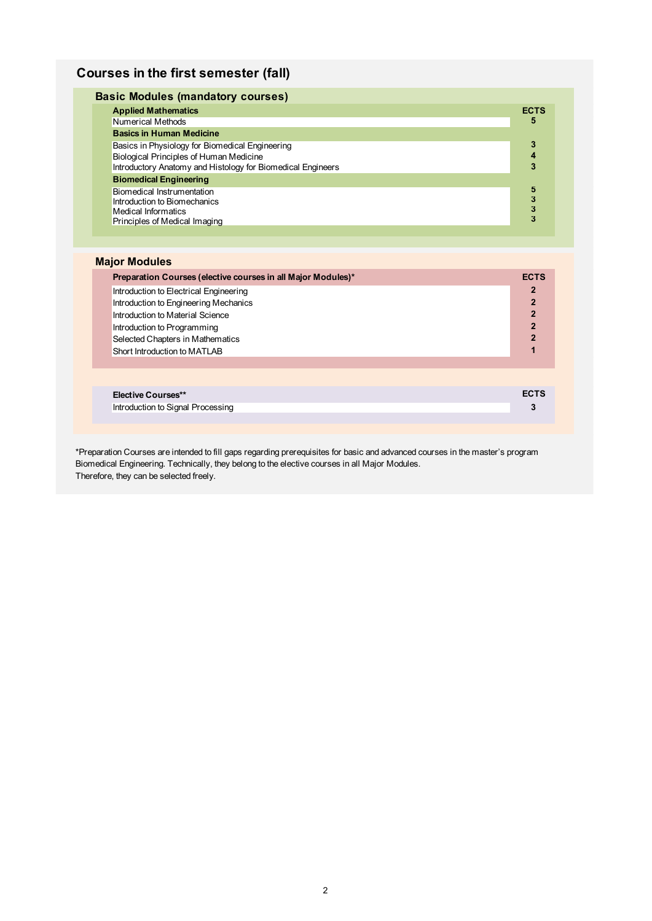## **Courses in the first semester (fall)**

| <b>Basic Modules (mandatory courses)</b>                    |             |
|-------------------------------------------------------------|-------------|
| <b>Applied Mathematics</b>                                  | <b>ECTS</b> |
| Numerical Methods                                           | 5           |
| <b>Basics in Human Medicine</b>                             |             |
| Basics in Physiology for Biomedical Engineering             | 3           |
| Biological Principles of Human Medicine                     |             |
| Introductory Anatomy and Histology for Biomedical Engineers | 3           |
| <b>Biomedical Engineering</b>                               |             |
| Biomedical Instrumentation                                  | 5           |
| Introduction to Biomechanics                                | 3           |
| Medical Informatics                                         | 3           |
| Principles of Medical Imaging                               | 3           |
|                                                             |             |

#### **Major Modules**

| Preparation Courses (elective courses in all Major Modules)* | <b>ECTS</b>    |
|--------------------------------------------------------------|----------------|
| Introduction to Electrical Engineering                       | $\mathbf 2$    |
| Introduction to Engineering Mechanics                        | $\overline{2}$ |
| Introduction to Material Science                             | $\overline{2}$ |
| Introduction to Programming                                  | $\overline{2}$ |
| Selected Chapters in Mathematics                             | $\overline{2}$ |
| Short Introduction to MATLAB                                 |                |
|                                                              |                |
|                                                              |                |
| <b>Elective Courses**</b>                                    | <b>ECTS</b>    |
| Introduction to Signal Processing                            | 3              |

\*Preparation Courses are intended to fill gaps regarding prerequisites for basic and advanced courses in the master's program Biomedical Engineering. Technically, they belong to the elective courses in all Major Modules. Therefore, they can be selected freely.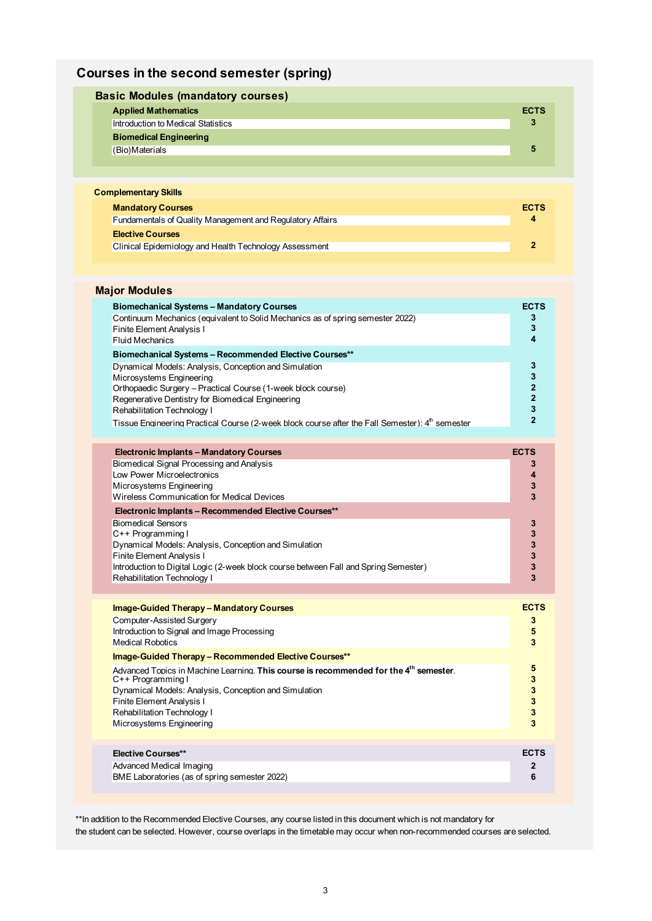# **Courses in the second semester (spring)**

| <b>Basic Modules (mandatory courses)</b> |  |             |
|------------------------------------------|--|-------------|
| <b>Applied Mathematics</b>               |  | <b>ECTS</b> |
| Introduction to Medical Statistics       |  | 3           |
| <b>Biomedical Engineering</b>            |  |             |
| (Bio)Materials                           |  | 5           |
|                                          |  |             |

| <b>Complementary Skills</b>                                      |             |
|------------------------------------------------------------------|-------------|
| <b>Mandatory Courses</b>                                         | <b>ECTS</b> |
| <b>Fundamentals of Quality Management and Regulatory Affairs</b> | 4           |
| <b>Elective Courses</b>                                          |             |
| Clinical Epidemiology and Health Technology Assessment           |             |
|                                                                  |             |

| <b>Major Modules</b>                                                                                                                                                                                                                                                                                                                                                                                                                                                                                                                                                                                        |                                                                                                 |
|-------------------------------------------------------------------------------------------------------------------------------------------------------------------------------------------------------------------------------------------------------------------------------------------------------------------------------------------------------------------------------------------------------------------------------------------------------------------------------------------------------------------------------------------------------------------------------------------------------------|-------------------------------------------------------------------------------------------------|
| <b>Biomechanical Systems - Mandatory Courses</b><br>Continuum Mechanics (equivalent to Solid Mechanics as of spring semester 2022)<br>Finite Element Analysis I<br><b>Fluid Mechanics</b><br>Biomechanical Systems - Recommended Elective Courses**<br>Dynamical Models: Analysis, Conception and Simulation<br>Microsystems Engineering<br>Orthopaedic Surgery - Practical Course (1-week block course)<br>Regenerative Dentistry for Biomedical Engineering<br>Rehabilitation Technology I<br>Tissue Engineering Practical Course (2-week block course after the Fall Semester): 4 <sup>th</sup> semester | <b>ECTS</b><br>3<br>3<br>4<br>3<br>3<br>$\overline{2}$<br>$\overline{2}$<br>3<br>$\overline{2}$ |
| <b>Electronic Implants - Mandatory Courses</b><br>Biomedical Signal Processing and Analysis<br>Low Power Microelectronics<br>Microsystems Engineering<br>Wireless Communication for Medical Devices<br>Electronic Implants - Recommended Elective Courses**<br><b>Biomedical Sensors</b><br>C++ Programming I<br>Dynamical Models: Analysis, Conception and Simulation<br>Finite Element Analysis I<br>Introduction to Digital Logic (2-week block course between Fall and Spring Semester)<br>Rehabilitation Technology I                                                                                  | <b>ECTS</b><br>3<br>4<br>3<br>3<br>3<br>3<br>3<br>3<br>3<br>3                                   |
| <b>Image-Guided Therapy - Mandatory Courses</b><br>Computer-Assisted Surgery<br>Introduction to Signal and Image Processing<br><b>Medical Robotics</b><br>Image-Guided Therapy - Recommended Elective Courses**<br>Advanced Topics in Machine Learning. This course is recommended for the 4 <sup>th</sup> semester.<br>C++ Programming I<br>Dynamical Models: Analysis, Conception and Simulation<br>Finite Element Analysis I<br>Rehabilitation Technology I<br>Microsystems Engineering                                                                                                                  | <b>ECTS</b><br>3<br>5<br>3<br>5<br>3<br>3<br>3<br>$\mathbf{3}$<br>3                             |
| <b>Elective Courses**</b><br>Advanced Medical Imaging<br>BME Laboratories (as of spring semester 2022)                                                                                                                                                                                                                                                                                                                                                                                                                                                                                                      | <b>ECTS</b><br>2<br>6                                                                           |

\*\*In addition to the Recommended Elective Courses, any course listed in this document which is not mandatory for the student can be selected. However, course overlaps in the timetable may occur when non-recommended courses are selected.